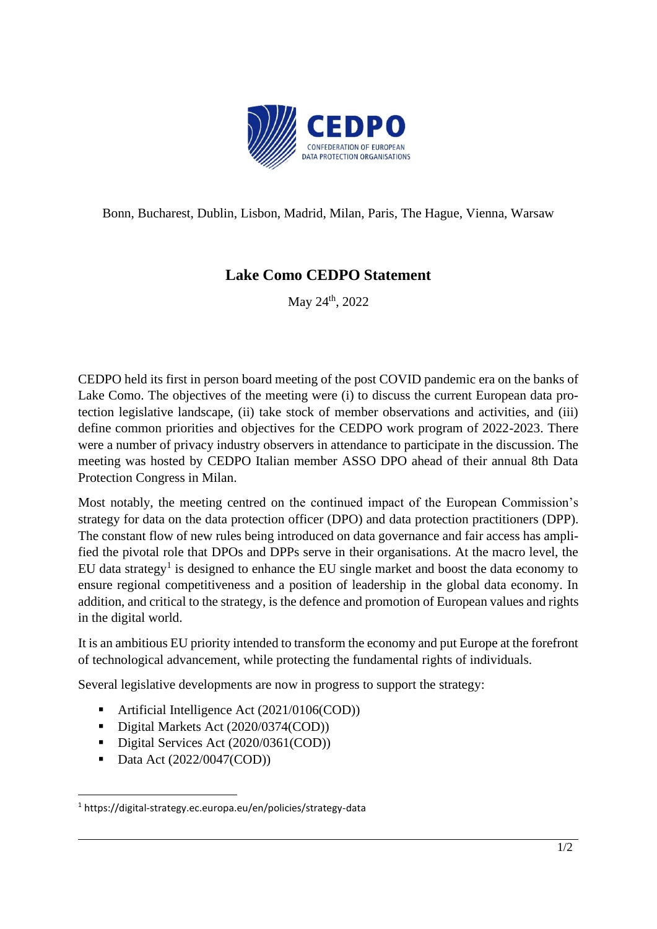

Bonn, Bucharest, Dublin, Lisbon, Madrid, Milan, Paris, The Hague, Vienna, Warsaw

## **Lake Como CEDPO Statement**

May 24<sup>th</sup>, 2022

CEDPO held its first in person board meeting of the post COVID pandemic era on the banks of Lake Como. The objectives of the meeting were (i) to discuss the current European data protection legislative landscape, (ii) take stock of member observations and activities, and (iii) define common priorities and objectives for the CEDPO work program of 2022-2023. There were a number of privacy industry observers in attendance to participate in the discussion. The meeting was hosted by CEDPO Italian member ASSO DPO ahead of their annual 8th Data Protection Congress in Milan.

Most notably, the meeting centred on the continued impact of the European Commission's strategy for data on the data protection officer (DPO) and data protection practitioners (DPP). The constant flow of new rules being introduced on data governance and fair access has amplified the pivotal role that DPOs and DPPs serve in their organisations. At the macro level, the EU data strategy<sup>1</sup> is designed to enhance the EU single market and boost the data economy to ensure regional competitiveness and a position of leadership in the global data economy. In addition, and critical to the strategy, is the defence and promotion of European values and rights in the digital world.

It is an ambitious EU priority intended to transform the economy and put Europe at the forefront of technological advancement, while protecting the fundamental rights of individuals.

Several legislative developments are now in progress to support the strategy:

- Artificial Intelligence Act (2021/0106(COD))
- Digital Markets Act (2020/0374(COD))
- Digital Services Act (2020/0361(COD))
- Data Act (2022/0047(COD))

<sup>1</sup> https://digital-strategy.ec.europa.eu/en/policies/strategy-data